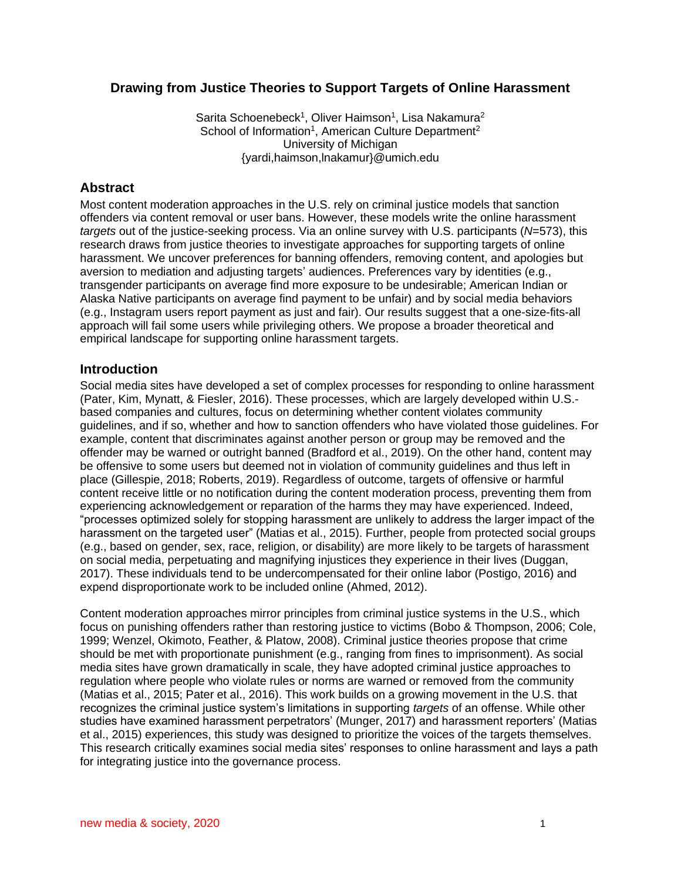# **Drawing from Justice Theories to Support Targets of Online Harassment**

Sarita Schoenebeck<sup>1</sup>, Oliver Haimson<sup>1</sup>, Lisa Nakamura<sup>2</sup> School of Information<sup>1</sup>, American Culture Department<sup>2</sup> University of Michigan {yardi,haimson,lnakamur}@umich.edu

## **Abstract**

Most content moderation approaches in the U.S. rely on criminal justice models that sanction offenders via content removal or user bans. However, these models write the online harassment *targets* out of the justice-seeking process. Via an online survey with U.S. participants (*N*=573), this research draws from justice theories to investigate approaches for supporting targets of online harassment. We uncover preferences for banning offenders, removing content, and apologies but aversion to mediation and adjusting targets' audiences. Preferences vary by identities (e.g., transgender participants on average find more exposure to be undesirable; American Indian or Alaska Native participants on average find payment to be unfair) and by social media behaviors (e.g., Instagram users report payment as just and fair). Our results suggest that a one-size-fits-all approach will fail some users while privileging others. We propose a broader theoretical and empirical landscape for supporting online harassment targets.

## **Introduction**

Social media sites have developed a set of complex processes for responding to online harassment [\(Pater, Kim, Mynatt, & Fiesler, 2016\).](https://www.zotero.org/google-docs/?7yxUFi) These processes, which are largely developed within U.S. based companies and cultures, focus on determining whether content violates community guidelines, and if so, whether and how to sanction offenders who have violated those guidelines. For example, content that discriminates against another person or group may be removed and the offender may be warned or outright banned [\(Bradford et al., 2019\).](https://www.zotero.org/google-docs/?cImfqI) On the other hand, content may be offensive to some users but deemed not in violation of community guidelines and thus left in place [\(Gillespie, 2018; Roberts, 2019\).](https://www.zotero.org/google-docs/?oKUSjP) Regardless of outcome, targets of offensive or harmful content receive little or no notification during the content moderation process, preventing them from experiencing acknowledgement or reparation of the harms they may have experienced. Indeed, "processes optimized solely for stopping harassment are unlikely to address the larger impact of the harassment on the targeted user" [\(Matias et al., 2015\).](https://www.zotero.org/google-docs/?1IrzqS) Further, people from protected social groups (e.g., based on gender, sex, race, religion, or disability) are more likely to be targets of harassment on social media, perpetuating and magnifying injustices they experience in their live[s \(Duggan,](https://www.zotero.org/google-docs/?bmTXpx)  [2017\).](https://www.zotero.org/google-docs/?bmTXpx) These individuals tend to be undercompensated for their online labor (Postigo, 2016) and expend disproportionate work to be included online [\(Ahmed, 2012\).](https://www.zotero.org/google-docs/?NMrL0t)

Content moderation approaches mirror principles from criminal justice systems in the U.S., which focus on punishing offenders rather than restoring justice to victims [\(Bobo & Thompson, 2006; Cole,](https://www.zotero.org/google-docs/?KUqMID)  [1999; Wenzel, Okimoto, Feather, & Platow, 2008\).](https://www.zotero.org/google-docs/?KUqMID) Criminal justice theories propose that crime should be met with proportionate punishment (e.g., ranging from fines to imprisonment). As social media sites have grown dramatically in scale, they have adopted criminal justice approaches to regulation where people who violate rules or norms are warned or removed from the community [\(Matias et al., 2015; Pater et al., 2016\).](https://www.zotero.org/google-docs/?ablnuv) This work builds on a growing movement in the U.S. that recognizes the criminal justice system's limitations in supporting *targets* of an offense. While other studies have examined harassment perpetrators' (Munger, 2017) and harassment reporters' [\(Matias](https://www.zotero.org/google-docs/?GYd9JZ)  [et al., 2015\)](https://www.zotero.org/google-docs/?GYd9JZ) experiences, this study was designed to prioritize the voices of the targets themselves. This research critically examines social media sites' responses to online harassment and lays a path for integrating justice into the governance process.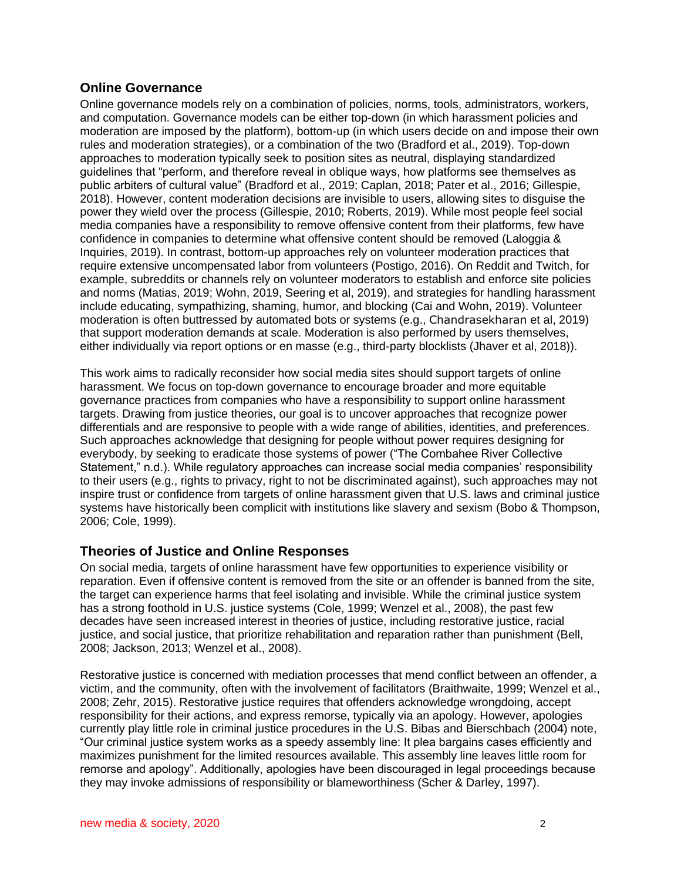# **Online Governance**

Online governance models rely on a combination of policies, norms, tools, administrators, workers, and computation. Governance models can be either top-down (in which harassment policies and moderation are imposed by the platform), bottom-up (in which users decide on and impose their own rules and moderation strategies), or a combination of the two (Bradford et al., 2019). Top-down approaches to moderation typically seek to position sites as neutral, displaying standardized guidelines that "perform, and therefore reveal in oblique ways, how platforms see themselves as public arbiters of cultural value" [\(Bradford et al., 2019; Caplan, 2018; Pater et al., 2016; Gillespie,](https://www.zotero.org/google-docs/?lZEJvj)  [2018\).](https://www.zotero.org/google-docs/?lZEJvj) However, content moderation decisions are invisible to users, allowing sites to disguise the power they wield over the process [\(Gillespie, 2010; Roberts, 2019\).](https://www.zotero.org/google-docs/?O0uFOr) While most people feel social media companies have a responsibility to remove offensive content from their platforms, few have confidence in companies to determine what offensive content should be removed [\(Laloggia &](https://www.zotero.org/google-docs/?lQHeFD)  [Inquiries, 2019\).](https://www.zotero.org/google-docs/?lQHeFD) In contrast, bottom-up approaches rely on volunteer moderation practices that require extensive uncompensated labor from volunteers (Postigo, 2016). On Reddit and Twitch, for example, subreddits or channels rely on volunteer moderators to establish and enforce site policies and norms (Matias, 2019; Wohn, 2019, Seering et al, 2019), and strategies for handling harassment include educating, sympathizing, shaming, humor, and blocking (Cai and Wohn, 2019). Volunteer moderation is often buttressed by automated bots or systems (e.g., Chandrasekharan et al, 2019) that support moderation demands at scale. Moderation is also performed by users themselves, either individually via report options or en masse (e.g., third-party blocklists (Jhaver et al, 2018)).

This work aims to radically reconsider how social media sites should support targets of online harassment. We focus on top-down governance to encourage broader and more equitable governance practices from companies who have a responsibility to support online harassment targets. Drawing from justice theories, our goal is to uncover approaches that recognize power differentials and are responsive to people with a wide range of abilities, identities, and preferences. Such approaches acknowledge that designing for people without power requires designing for everybody, by seeking to eradicate those systems of power [\("The Combahee River Collective](https://www.zotero.org/google-docs/?T3HbpL)  [Statement," n.d.\).](https://www.zotero.org/google-docs/?T3HbpL) While regulatory approaches can increase social media companies' responsibility to their users (e.g., rights to privacy, right to not be discriminated against), such approaches may not inspire trust or confidence from targets of online harassment given that U.S. laws and criminal justice systems have historically been complicit with institutions like slavery and sexism [\(Bobo & Thompson,](https://www.zotero.org/google-docs/?0oYX94)  [2006; Cole, 1999\).](https://www.zotero.org/google-docs/?0oYX94)

# **Theories of Justice and Online Responses**

On social media, targets of online harassment have few opportunities to experience visibility or reparation. Even if offensive content is removed from the site or an offender is banned from the site, the target can experience harms that feel isolating and invisible. While the criminal justice system has a strong foothold in U.S. justice systems [\(Cole, 1999; Wenzel et al., 2008\),](https://www.zotero.org/google-docs/?rbBHX0) the past few decades have seen increased interest in theories of justice, including restorative justice, racial justice, and social justice, that prioritize rehabilitation and reparation rather than punishment [\(Bell,](https://www.zotero.org/google-docs/?yksI5v)  [2008; Jackson, 2013; Wenzel et al., 2008\).](https://www.zotero.org/google-docs/?yksI5v)

Restorative justice is concerned with mediation processes that mend conflict between an offender, a victim, and the community, often with the involvement of facilitators [\(Braithwaite, 1999; Wenzel et al.,](https://www.zotero.org/google-docs/?kNCZ85)  [2008; Zehr, 2015\).](https://www.zotero.org/google-docs/?kNCZ85) Restorative justice requires that offenders acknowledge wrongdoing, accept responsibility for their actions, and express remorse, typically via an apology. However, apologies currently play little role in criminal justice procedures in the U.S. Bibas and Bierschbach (2004) note, "Our criminal justice system works as a speedy assembly line: It plea bargains cases efficiently and maximizes punishment for the limited resources available. This assembly line leaves little room for remorse and apology". Additionally, apologies have been discouraged in legal proceedings because they may invoke admissions of responsibility or blameworthiness (Scher & Darley, 1997).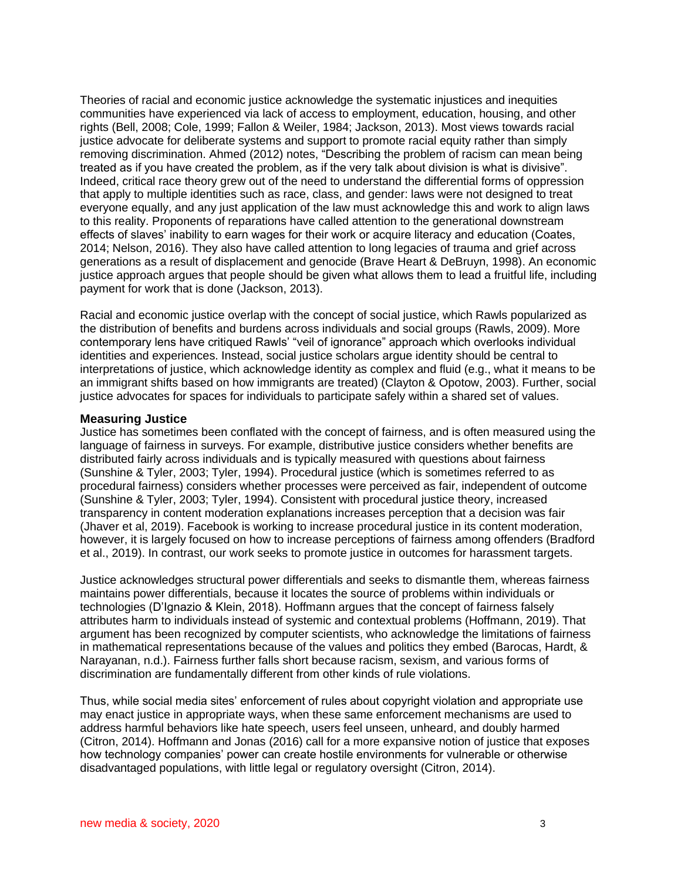Theories of racial and economic justice acknowledge the systematic injustices and inequities communities have experienced via lack of access to employment, education, housing, and other rights [\(Bell, 2008; Cole, 1999; Fallon & Weiler, 1984; Jackson, 2013\).](https://www.zotero.org/google-docs/?4L3Hv0) Most views towards racial justice advocate for deliberate systems and support to promote racial equity rather than simply removing discrimination. Ahmed (2012) notes, "Describing the problem of racism can mean being treated as if you have created the problem, as if the very talk about division is what is divisive". Indeed, critical race theory grew out of the need to understand the differential forms of oppression that apply to multiple identities such as race, class, and gender: laws were not designed to treat everyone equally, and any just application of the law must acknowledge this and work to align laws to this reality. Proponents of reparations have called attention to the generational downstream effects of slaves' inability to earn wages for their work or acquire literacy and education (Coates, 2014; Nelson, 2016). They also have called attention to long legacies of trauma and grief across generations as a result of displacement and genocide [\(Brave Heart & DeBruyn, 1998\).](https://www.zotero.org/google-docs/?sUsK0N) An economic justice approach argues that people should be given what allows them to lead a fruitful life, including payment for work that is done [\(Jackson, 2013\).](https://www.zotero.org/google-docs/?iaQmhO)

Racial and economic justice overlap with the concept of social justice, which Rawls popularized as the distribution of benefits and burdens across individuals and social groups [\(Rawls, 2009\).](https://www.zotero.org/google-docs/?FKUELb) More contemporary lens have critiqued Rawls' "veil of ignorance" approach which overlooks individual identities and experiences. Instead, social justice scholars argue identity should be central to interpretations of justice, which acknowledge identity as complex and fluid (e.g., what it means to be an immigrant shifts based on how immigrants are treated) [\(Clayton & Opotow, 2003\).](https://www.zotero.org/google-docs/?YwdqBR) Further, social justice advocates for spaces for individuals to participate safely within a shared set of values.

#### **Measuring Justice**

Justice has sometimes been conflated with the concept of fairness, and is often measured using the language of fairness in surveys. For example, distributive justice considers whether benefits are distributed fairly across individuals and is typically measured with questions about fairness [\(Sunshine & Tyler, 2003; Tyler, 1994\).](https://www.zotero.org/google-docs/?0iiWIA) Procedural justice (which is sometimes referred to as procedural fairness) considers whether processes were perceived as fair, independent of outcome [\(Sunshine & Tyler, 2003; Tyler, 1994\).](https://www.zotero.org/google-docs/?19lqqX) Consistent with procedural justice theory, increased transparency in content moderation explanations increases perception that a decision was fair (Jhaver et al, 2019). Facebook is working to increase procedural justice in its content moderation, however, it is largely focused on how to increase perceptions of fairness among offenders (Bradford et al., 2019). In contrast, our work seeks to promote justice in outcomes for harassment targets.

Justice acknowledges structural power differentials and seeks to dismantle them, whereas fairness maintains power differentials, because it locates the source of problems within individuals or technologies [\(D'Ignazio & Klein, 2018\).](https://www.zotero.org/google-docs/?JdiujN) Hoffmann argues that the concept of fairness falsely attributes harm to individuals instead of systemic and contextual problems [\(Hoffmann, 2019\).](https://www.zotero.org/google-docs/?blCxk2) That argument has been recognized by computer scientists, who acknowledge the limitations of fairness in mathematical representations because of the values and politics they embed [\(Barocas, Hardt, &](https://www.zotero.org/google-docs/?HOZEbw)  [Narayanan, n.d.\).](https://www.zotero.org/google-docs/?HOZEbw) Fairness further falls short because racism, sexism, and various forms of discrimination are fundamentally different from other kinds of rule violations.

Thus, while social media sites' enforcement of rules about copyright violation and appropriate use may enact justice in appropriate ways, when these same enforcement mechanisms are used to address harmful behaviors like hate speech, users feel unseen, unheard, and doubly harmed [\(Citron, 2014\).](https://www.zotero.org/google-docs/?7l6ysr) Hoffmann and Jonas [\(2016\)](https://www.zotero.org/google-docs/?6Tyd2n) call for a more expansive notion of justice that exposes how technology companies' power can create hostile environments for vulnerable or otherwise disadvantaged populations, with little legal or regulatory oversight (Citron, 2014).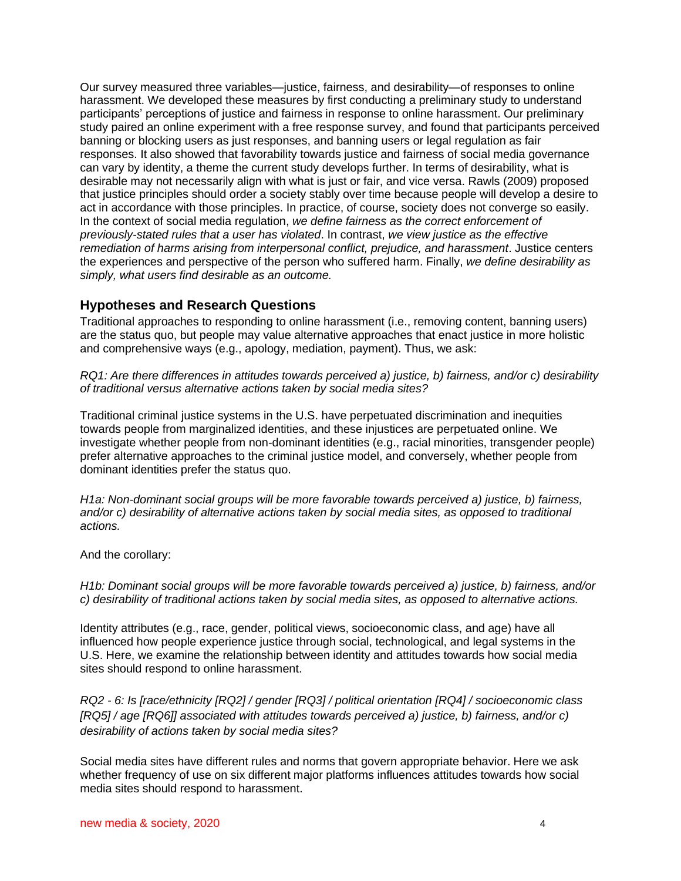Our survey measured three variables—justice, fairness, and desirability—of responses to online harassment. We developed these measures by first conducting a preliminary study to understand participants' perceptions of justice and fairness in response to online harassment. Our preliminary study paired an online experiment with a free response survey, and found that participants perceived banning or blocking users as just responses, and banning users or legal regulation as fair responses. It also showed that favorability towards justice and fairness of social media governance can vary by identity, a theme the current study develops further. In terms of desirability, what is desirable may not necessarily align with what is just or fair, and vice versa. Rawls (2009) proposed that justice principles should order a society stably over time because people will develop a desire to act in accordance with those principles. In practice, of course, society does not converge so easily. In the context of social media regulation, *we define fairness as the correct enforcement of previously-stated rules that a user has violated*. In contrast, *we view justice as the effective remediation of harms arising from interpersonal conflict, prejudice, and harassment*. Justice centers the experiences and perspective of the person who suffered harm. Finally, *we define desirability as simply, what users find desirable as an outcome.* 

# **Hypotheses and Research Questions**

Traditional approaches to responding to online harassment (i.e., removing content, banning users) are the status quo, but people may value alternative approaches that enact justice in more holistic and comprehensive ways (e.g., apology, mediation, payment). Thus, we ask:

*RQ1: Are there differences in attitudes towards perceived a) justice, b) fairness, and/or c) desirability of traditional versus alternative actions taken by social media sites?*

Traditional criminal justice systems in the U.S. have perpetuated discrimination and inequities towards people from marginalized identities, and these injustices are perpetuated online. We investigate whether people from non-dominant identities (e.g., racial minorities, transgender people) prefer alternative approaches to the criminal justice model, and conversely, whether people from dominant identities prefer the status quo.

*H1a: Non-dominant social groups will be more favorable towards perceived a) justice, b) fairness, and/or c) desirability of alternative actions taken by social media sites, as opposed to traditional actions.*

And the corollary:

*H1b: Dominant social groups will be more favorable towards perceived a) justice, b) fairness, and/or c) desirability of traditional actions taken by social media sites, as opposed to alternative actions.*

Identity attributes (e.g., race, gender, political views, socioeconomic class, and age) have all influenced how people experience justice through social, technological, and legal systems in the U.S. Here, we examine the relationship between identity and attitudes towards how social media sites should respond to online harassment.

*RQ2 - 6: Is [race/ethnicity [RQ2] / gender [RQ3] / political orientation [RQ4] / socioeconomic class [RQ5] / age [RQ6]] associated with attitudes towards perceived a) justice, b) fairness, and/or c) desirability of actions taken by social media sites?* 

Social media sites have different rules and norms that govern appropriate behavior. Here we ask whether frequency of use on six different major platforms influences attitudes towards how social media sites should respond to harassment.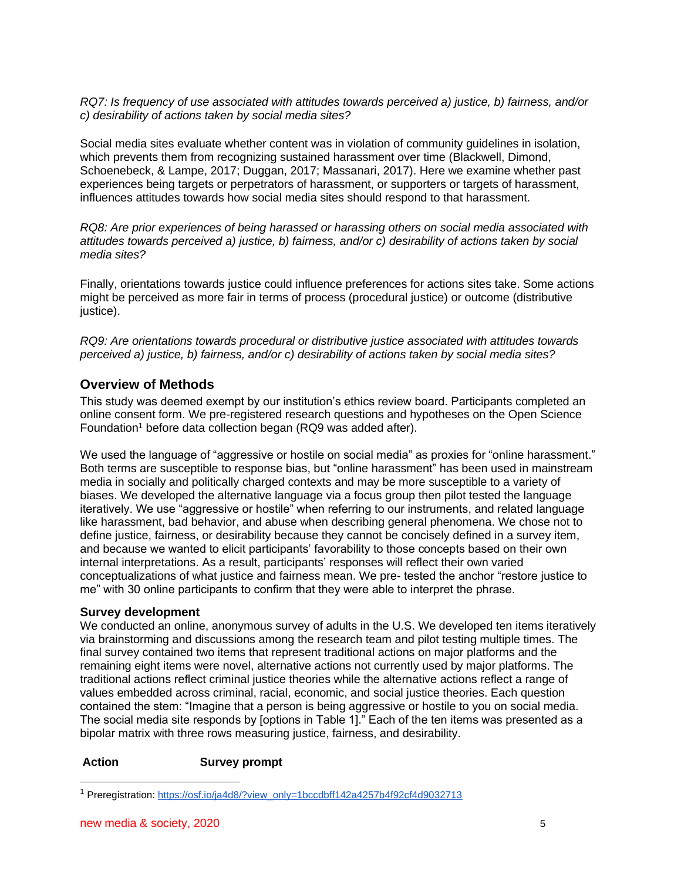*RQ7: Is frequency of use associated with attitudes towards perceived a) justice, b) fairness, and/or c) desirability of actions taken by social media sites?*

Social media sites evaluate whether content was in violation of community guidelines in isolation, which prevents them from recognizing sustained harassment over time [\(Blackwell, Dimond,](https://www.zotero.org/google-docs/?pPCAVJ)  [Schoenebeck, & Lampe, 2017; Duggan, 2017; Massanari, 2017\).](https://www.zotero.org/google-docs/?pPCAVJ) Here we examine whether past experiences being targets or perpetrators of harassment, or supporters or targets of harassment, influences attitudes towards how social media sites should respond to that harassment.

*RQ8: Are prior experiences of being harassed or harassing others on social media associated with attitudes towards perceived a) justice, b) fairness, and/or c) desirability of actions taken by social media sites?*

Finally, orientations towards justice could influence preferences for actions sites take. Some actions might be perceived as more fair in terms of process (procedural justice) or outcome (distributive justice).

*RQ9: Are orientations towards procedural or distributive justice associated with attitudes towards perceived a) justice, b) fairness, and/or c) desirability of actions taken by social media sites?*

# **Overview of Methods**

This study was deemed exempt by our institution's ethics review board. Participants completed an online consent form. We pre-registered research questions and hypotheses on the Open Science Foundation<sup>1</sup> before data collection began (RQ9 was added after).

We used the language of "aggressive or hostile on social media" as proxies for "online harassment." Both terms are susceptible to response bias, but "online harassment" has been used in mainstream media in socially and politically charged contexts and may be more susceptible to a variety of biases. We developed the alternative language via a focus group then pilot tested the language iteratively. We use "aggressive or hostile" when referring to our instruments, and related language like harassment, bad behavior, and abuse when describing general phenomena. We chose not to define justice, fairness, or desirability because they cannot be concisely defined in a survey item, and because we wanted to elicit participants' favorability to those concepts based on their own internal interpretations. As a result, participants' responses will reflect their own varied conceptualizations of what justice and fairness mean. We pre- tested the anchor "restore justice to me" with 30 online participants to confirm that they were able to interpret the phrase.

## **Survey development**

We conducted an online, anonymous survey of adults in the U.S. We developed ten items iteratively via brainstorming and discussions among the research team and pilot testing multiple times. The final survey contained two items that represent traditional actions on major platforms and the remaining eight items were novel, alternative actions not currently used by major platforms. The traditional actions reflect criminal justice theories while the alternative actions reflect a range of values embedded across criminal, racial, economic, and social justice theories. Each question contained the stem: "Imagine that a person is being aggressive or hostile to you on social media. The social media site responds by [options in Table 1]." Each of the ten items was presented as a bipolar matrix with three rows measuring justice, fairness, and desirability.

## **Action Survey prompt**

<sup>1</sup> Preregistration: [https://osf.io/ja4d8/?view\\_only=1bccdbff142a4257b4f92cf4d9032713](https://osf.io/ja4d8/?view_only=1bccdbff142a4257b4f92cf4d9032713)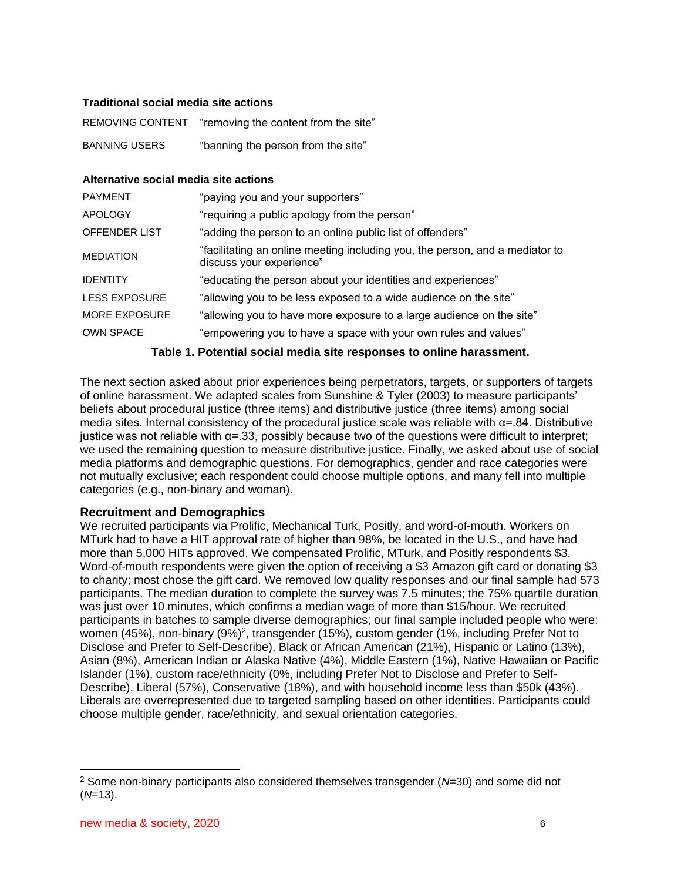## **Traditional social media site actions**

| <b>REMOVING CONTENT</b> | "removing the content from the site" |
|-------------------------|--------------------------------------|
| <b>BANNING USERS</b>    | "banning the person from the site"   |

#### **Alternative social media site actions**

| <b>PAYMENT</b>       | "paying you and your supporters"                                                                         |
|----------------------|----------------------------------------------------------------------------------------------------------|
| <b>APOLOGY</b>       | "requiring a public apology from the person"                                                             |
| <b>OFFENDER LIST</b> | "adding the person to an online public list of offenders"                                                |
| <b>MEDIATION</b>     | "facilitating an online meeting including you, the person, and a mediator to<br>discuss your experience" |
| <b>IDENTITY</b>      | "educating the person about your identities and experiences"                                             |
| <b>LESS EXPOSURE</b> | "allowing you to be less exposed to a wide audience on the site"                                         |
| <b>MORE EXPOSURE</b> | "allowing you to have more exposure to a large audience on the site"                                     |
| <b>OWN SPACE</b>     | "empowering you to have a space with your own rules and values"                                          |

### **Table 1. Potential social media site responses to online harassment.**

The next section asked about prior experiences being perpetrators, targets, or supporters of targets of online harassment. We adapted scales from [Sunshine & Tyler \(2003\)](https://www.zotero.org/google-docs/?4DpTXV) to measure participants' beliefs about procedural justice (three items) and distributive justice (three items) among social media sites. Internal consistency of the procedural justice scale was reliable with α=.84. Distributive justice was not reliable with α=.33, possibly because two of the questions were difficult to interpret; we used the remaining question to measure distributive justice. Finally, we asked about use of social media platforms and demographic questions. For demographics, gender and race categories were not mutually exclusive; each respondent could choose multiple options, and many fell into multiple categories (e.g., non-binary and woman).

#### **Recruitment and Demographics**

We recruited participants via Prolific, Mechanical Turk, Positly, and word-of-mouth. Workers on MTurk had to have a HIT approval rate of higher than 98%, be located in the U.S., and have had more than 5,000 HITs approved. We compensated Prolific, MTurk, and Positly respondents \$3. Word-of-mouth respondents were given the option of receiving a \$3 Amazon gift card or donating \$3 to charity; most chose the gift card. We removed low quality responses and our final sample had 573 participants. The median duration to complete the survey was 7.5 minutes; the 75% quartile duration was just over 10 minutes, which confirms a median wage of more than \$15/hour. We recruited participants in batches to sample diverse demographics; our final sample included people who were: women (45%), non-binary (9%)<sup>2</sup>, transgender (15%), custom gender (1%, including Prefer Not to Disclose and Prefer to Self-Describe), Black or African American (21%), Hispanic or Latino (13%), Asian (8%), American Indian or Alaska Native (4%), Middle Eastern (1%), Native Hawaiian or Pacific Islander (1%), custom race/ethnicity (0%, including Prefer Not to Disclose and Prefer to Self-Describe), Liberal (57%), Conservative (18%), and with household income less than \$50k (43%). Liberals are overrepresented due to targeted sampling based on other identities. Participants could choose multiple gender, race/ethnicity, and sexual orientation categories.

<sup>2</sup> Some non-binary participants also considered themselves transgender (*N*=30) and some did not (*N*=13).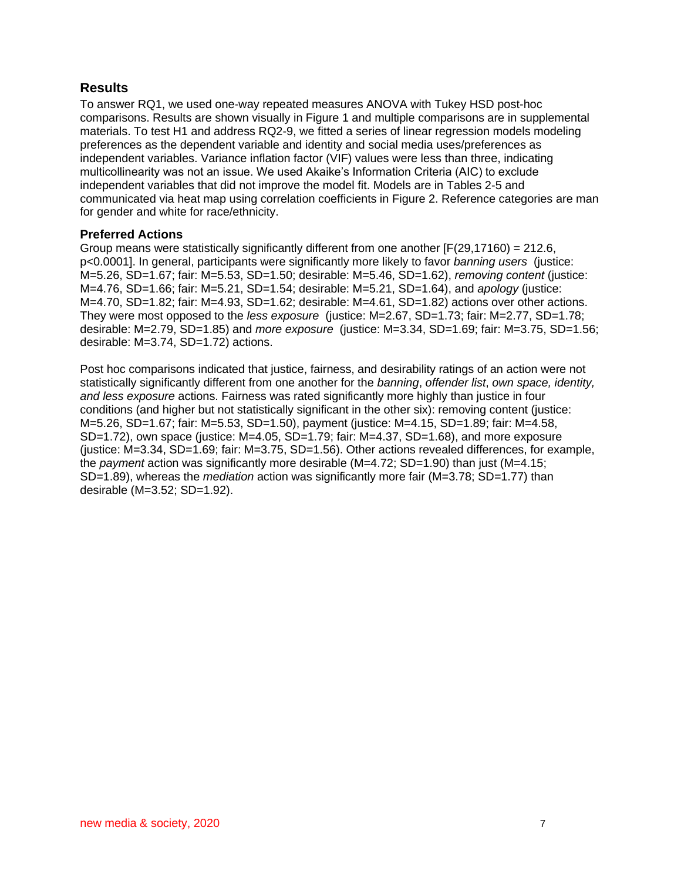# **Results**

To answer RQ1, we used one-way repeated measures ANOVA with Tukey HSD post-hoc comparisons. Results are shown visually in Figure 1 and multiple comparisons are in supplemental materials. To test H1 and address RQ2-9, we fitted a series of linear regression models modeling preferences as the dependent variable and identity and social media uses/preferences as independent variables. Variance inflation factor (VIF) values were less than three, indicating multicollinearity was not an issue. We used Akaike's Information Criteria (AIC) to exclude independent variables that did not improve the model fit. Models are in Tables 2-5 and communicated via heat map using correlation coefficients in Figure 2. Reference categories are man for gender and white for race/ethnicity.

## **Preferred Actions**

Group means were statistically significantly different from one another  $[F(29,17160) = 212.6]$ , p<0.0001]. In general, participants were significantly more likely to favor *banning users* (justice: M=5.26, SD=1.67; fair: M=5.53, SD=1.50; desirable: M=5.46, SD=1.62), *removing content* (justice: M=4.76, SD=1.66; fair: M=5.21, SD=1.54; desirable: M=5.21, SD=1.64), and *apology* (justice: M=4.70, SD=1.82; fair: M=4.93, SD=1.62; desirable: M=4.61, SD=1.82) actions over other actions. They were most opposed to the *less exposure* (justice: M=2.67, SD=1.73; fair: M=2.77, SD=1.78; desirable: M=2.79, SD=1.85) and *more exposure* (justice: M=3.34, SD=1.69; fair: M=3.75, SD=1.56; desirable: M=3.74, SD=1.72) actions.

Post hoc comparisons indicated that justice, fairness, and desirability ratings of an action were not statistically significantly different from one another for the *banning*, *offender list*, *own space, identity, and less exposure* actions. Fairness was rated significantly more highly than justice in four conditions (and higher but not statistically significant in the other six): removing content (justice: M=5.26, SD=1.67; fair: M=5.53, SD=1.50), payment (justice: M=4.15, SD=1.89; fair: M=4.58, SD=1.72), own space (justice: M=4.05, SD=1.79; fair: M=4.37, SD=1.68), and more exposure (iustice:  $M=3.34$ , SD=1.69; fair:  $M=3.75$ , SD=1.56). Other actions revealed differences, for example, the *payment* action was significantly more desirable (M=4.72; SD=1.90) than just (M=4.15; SD=1.89), whereas the *mediation* action was significantly more fair (M=3.78; SD=1.77) than desirable (M=3.52; SD=1.92).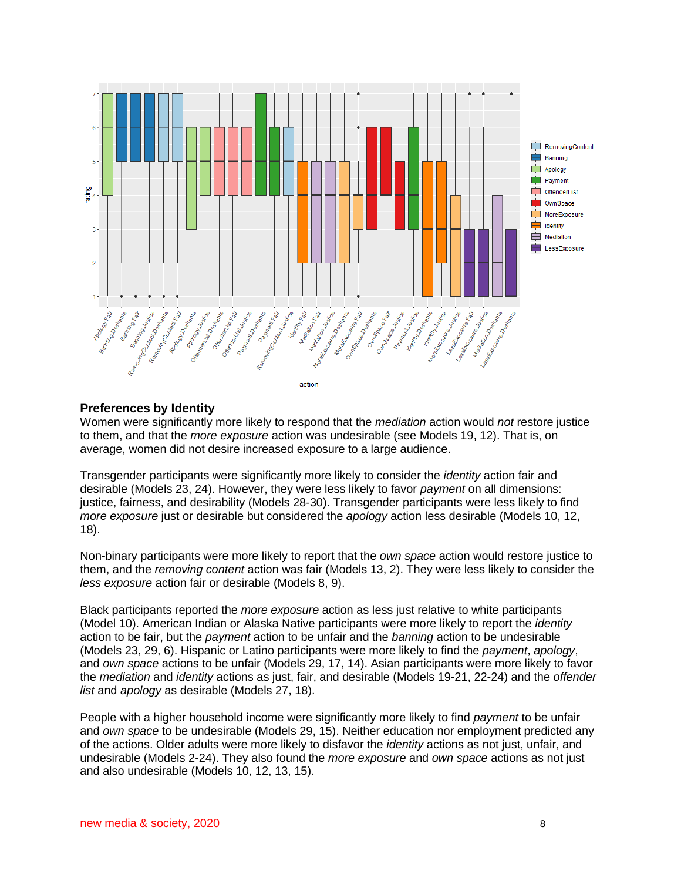

### **Preferences by Identity**

Women were significantly more likely to respond that the *mediation* action would *not* restore justice to them, and that the *more exposure* action was undesirable (see Models 19, 12). That is, on average, women did not desire increased exposure to a large audience.

Transgender participants were significantly more likely to consider the *identity* action fair and desirable (Models 23, 24). However, they were less likely to favor *payment* on all dimensions: justice, fairness, and desirability (Models 28-30). Transgender participants were less likely to find *more exposure* just or desirable but considered the *apology* action less desirable (Models 10, 12, 18).

Non-binary participants were more likely to report that the *own space* action would restore justice to them, and the *removing content* action was fair (Models 13, 2). They were less likely to consider the *less exposure* action fair or desirable (Models 8, 9).

Black participants reported the *more exposure* action as less just relative to white participants (Model 10). American Indian or Alaska Native participants were more likely to report the *identity*  action to be fair, but the *payment* action to be unfair and the *banning* action to be undesirable (Models 23, 29, 6). Hispanic or Latino participants were more likely to find the *payment*, *apology*, and *own space* actions to be unfair (Models 29, 17, 14). Asian participants were more likely to favor the *mediation* and *identity* actions as just, fair, and desirable (Models 19-21, 22-24) and the *offender list* and *apology* as desirable (Models 27, 18).

People with a higher household income were significantly more likely to find *payment* to be unfair and *own space* to be undesirable (Models 29, 15). Neither education nor employment predicted any of the actions. Older adults were more likely to disfavor the *identity* actions as not just, unfair, and undesirable (Models 2-24). They also found the *more exposure* and *own space* actions as not just and also undesirable (Models 10, 12, 13, 15).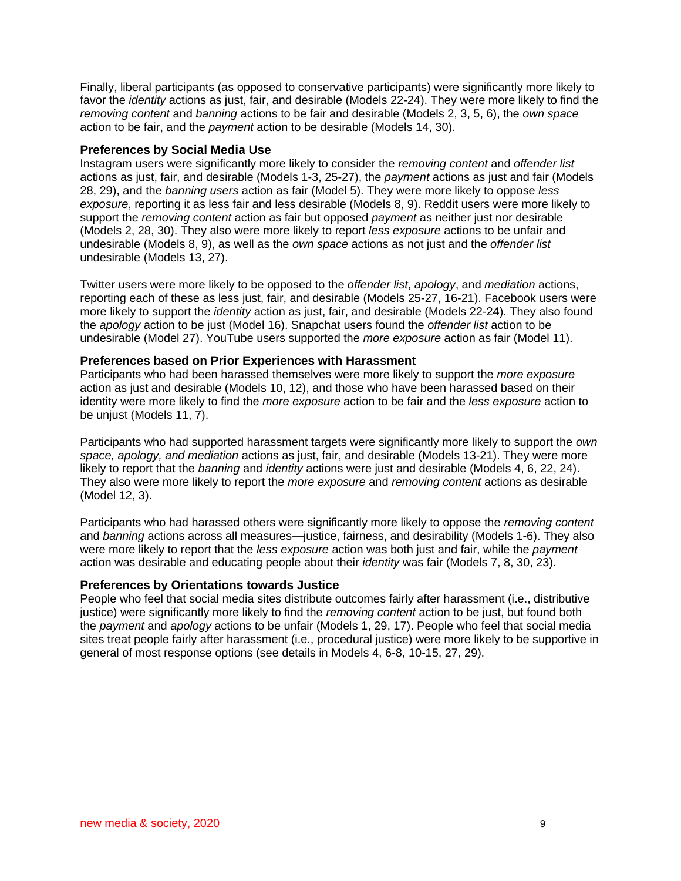Finally, liberal participants (as opposed to conservative participants) were significantly more likely to favor the *identity* actions as just, fair, and desirable (Models 22-24). They were more likely to find the *removing content* and *banning* actions to be fair and desirable (Models 2, 3, 5, 6), the *own space* action to be fair, and the *payment* action to be desirable (Models 14, 30).

## **Preferences by Social Media Use**

Instagram users were significantly more likely to consider the *removing content* and *offender list* actions as just, fair, and desirable (Models 1-3, 25-27), the *payment* actions as just and fair (Models 28, 29), and the *banning users* action as fair (Model 5). They were more likely to oppose *less exposure*, reporting it as less fair and less desirable (Models 8, 9). Reddit users were more likely to support the *removing content* action as fair but opposed *payment* as neither just nor desirable (Models 2, 28, 30). They also were more likely to report *less exposure* actions to be unfair and undesirable (Models 8, 9), as well as the *own space* actions as not just and the *offender list* undesirable (Models 13, 27).

Twitter users were more likely to be opposed to the *offender list*, *apology*, and *mediation* actions, reporting each of these as less just, fair, and desirable (Models 25-27, 16-21). Facebook users were more likely to support the *identity* action as just, fair, and desirable (Models 22-24). They also found the *apology* action to be just (Model 16). Snapchat users found the *offender list* action to be undesirable (Model 27). YouTube users supported the *more exposure* action as fair (Model 11).

## **Preferences based on Prior Experiences with Harassment**

Participants who had been harassed themselves were more likely to support the *more exposure* action as just and desirable (Models 10, 12), and those who have been harassed based on their identity were more likely to find the *more exposure* action to be fair and the *less exposure* action to be unjust (Models 11, 7).

Participants who had supported harassment targets were significantly more likely to support the *own space, apology, and mediation* actions as just, fair, and desirable (Models 13-21). They were more likely to report that the *banning* and *identity* actions were just and desirable (Models 4, 6, 22, 24). They also were more likely to report the *more exposure* and *removing content* actions as desirable (Model 12, 3).

Participants who had harassed others were significantly more likely to oppose the *removing content* and *banning* actions across all measures—justice, fairness, and desirability (Models 1-6). They also were more likely to report that the *less exposure* action was both just and fair, while the *payment*  action was desirable and educating people about their *identity* was fair (Models 7, 8, 30, 23).

## **Preferences by Orientations towards Justice**

People who feel that social media sites distribute outcomes fairly after harassment (i.e., distributive justice) were significantly more likely to find the *removing content* action to be just, but found both the *payment* and *apology* actions to be unfair (Models 1, 29, 17). People who feel that social media sites treat people fairly after harassment (i.e., procedural justice) were more likely to be supportive in general of most response options (see details in Models 4, 6-8, 10-15, 27, 29).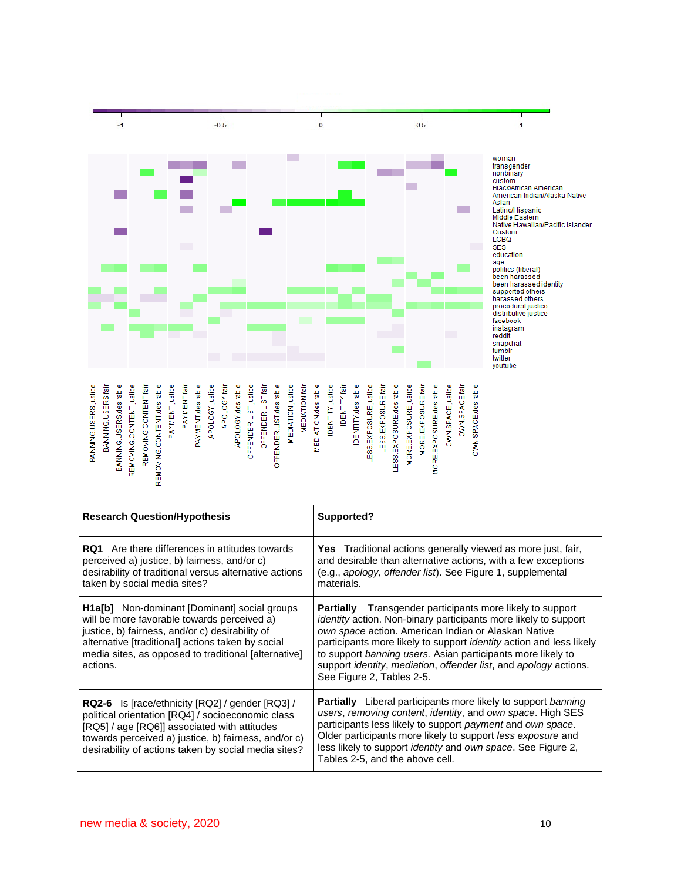

| <b>Research Question/Hypothesis</b>                                                                                                                                                                                                                                            | Supported?                                                                                                                                                                                                                                                                                                                                                                                                                                                                     |
|--------------------------------------------------------------------------------------------------------------------------------------------------------------------------------------------------------------------------------------------------------------------------------|--------------------------------------------------------------------------------------------------------------------------------------------------------------------------------------------------------------------------------------------------------------------------------------------------------------------------------------------------------------------------------------------------------------------------------------------------------------------------------|
| <b>RQ1</b> Are there differences in attitudes towards<br>perceived a) justice, b) fairness, and/or c)<br>desirability of traditional versus alternative actions<br>taken by social media sites?                                                                                | <b>Yes</b> Traditional actions generally viewed as more just, fair,<br>and desirable than alternative actions, with a few exceptions<br>(e.g., apology, offender list). See Figure 1, supplemental<br>materials.                                                                                                                                                                                                                                                               |
| <b>H1a[b]</b> Non-dominant [Dominant] social groups<br>will be more favorable towards perceived a)<br>justice, b) fairness, and/or c) desirability of<br>alternative [traditional] actions taken by social<br>media sites, as opposed to traditional [alternative]<br>actions. | <b>Partially</b> Transgender participants more likely to support<br><i>identity</i> action. Non-binary participants more likely to support<br>own space action. American Indian or Alaskan Native<br>participants more likely to support <i>identity</i> action and less likely<br>to support banning users. Asian participants more likely to<br>support <i>identity</i> , <i>mediation</i> , <i>offender list</i> , and <i>apology</i> actions.<br>See Figure 2, Tables 2-5. |
| <b>RQ2-6</b> Is [race/ethnicity [RQ2] / gender [RQ3] /<br>political orientation [RQ4] / socioeconomic class<br>[RQ5] / age [RQ6]] associated with attitudes<br>towards perceived a) justice, b) fairness, and/or c)<br>desirability of actions taken by social media sites?    | <b>Partially</b> Liberal participants more likely to support banning<br>users, removing content, identity, and own space. High SES<br>participants less likely to support payment and own space.<br>Older participants more likely to support less exposure and<br>less likely to support <i>identity</i> and own space. See Figure 2,<br>Tables 2-5, and the above cell.                                                                                                      |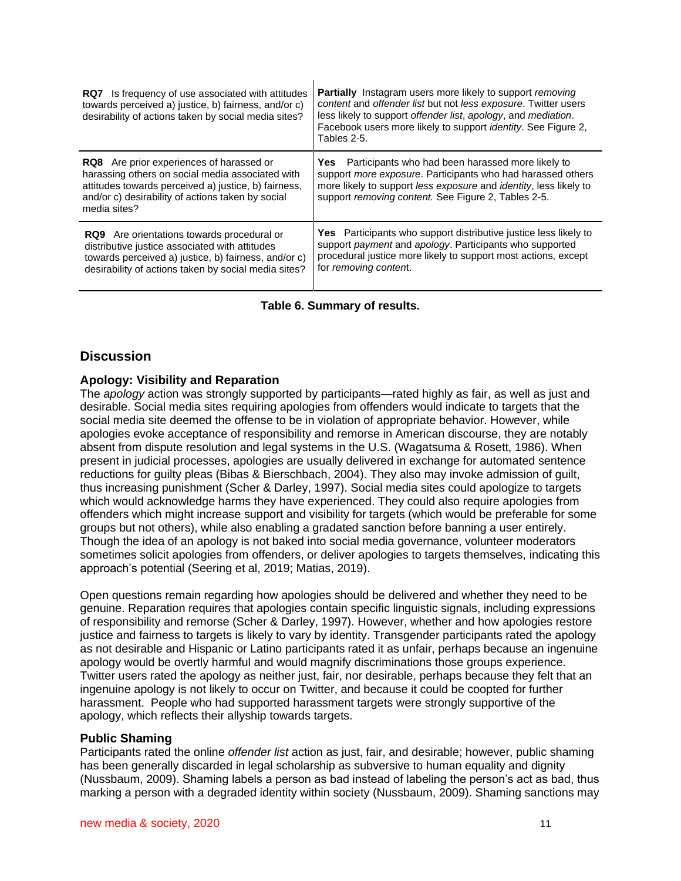| <b>RQ7</b> Is frequency of use associated with attitudes<br>towards perceived a) justice, b) fairness, and/or c)<br>desirability of actions taken by social media sites?                                                         | <b>Partially</b> Instagram users more likely to support <i>removing</i><br>content and offender list but not less exposure. Twitter users<br>less likely to support offender list, apology, and mediation.<br>Facebook users more likely to support <i>identity</i> . See Figure 2,<br>Tables 2-5. |
|----------------------------------------------------------------------------------------------------------------------------------------------------------------------------------------------------------------------------------|----------------------------------------------------------------------------------------------------------------------------------------------------------------------------------------------------------------------------------------------------------------------------------------------------|
| <b>RQ8</b> Are prior experiences of harassed or<br>harassing others on social media associated with<br>attitudes towards perceived a) justice, b) fairness,<br>and/or c) desirability of actions taken by social<br>media sites? | <b>Yes</b> Participants who had been harassed more likely to<br>support more exposure. Participants who had harassed others<br>more likely to support less exposure and identity, less likely to<br>support removing content. See Figure 2, Tables 2-5.                                            |
| <b>RQ9</b> Are orientations towards procedural or<br>distributive justice associated with attitudes<br>towards perceived a) justice, b) fairness, and/or c)<br>desirability of actions taken by social media sites?              | <b>Yes</b> Participants who support distributive justice less likely to<br>support payment and apology. Participants who supported<br>procedural justice more likely to support most actions, except<br>for removing content.                                                                      |

### **Table 6. Summary of results.**

# **Discussion**

### **Apology: Visibility and Reparation**

The *apology* action was strongly supported by participants—rated highly as fair, as well as just and desirable. Social media sites requiring apologies from offenders would indicate to targets that the social media site deemed the offense to be in violation of appropriate behavior. However, while apologies evoke acceptance of responsibility and remorse in American discourse, they are notably absent from dispute resolution and legal systems in the U.S. (Wagatsuma & Rosett, 1986). When present in judicial processes, apologies are usually delivered in exchange for automated sentence reductions for guilty pleas [\(Bibas & Bierschbach, 2004\).](https://www.zotero.org/google-docs/?fJPA8R) They also may invoke admission of guilt, thus increasing punishment [\(Scher & Darley, 1997\).](https://www.zotero.org/google-docs/?JEDM3z) Social media sites could apologize to targets which would acknowledge harms they have experienced. They could also require apologies from offenders which might increase support and visibility for targets (which would be preferable for some groups but not others), while also enabling a gradated sanction before banning a user entirely. Though the idea of an apology is not baked into social media governance, volunteer moderators sometimes solicit apologies from offenders, or deliver apologies to targets themselves, indicating this approach's potential (Seering et al, 2019; Matias, 2019).

Open questions remain regarding how apologies should be delivered and whether they need to be genuine. Reparation requires that apologies contain specific linguistic signals, including expressions of responsibility and remorse (Scher & Darley, 1997). However, whether and how apologies restore justice and fairness to targets is likely to vary by identity. Transgender participants rated the apology as not desirable and Hispanic or Latino participants rated it as unfair, perhaps because an ingenuine apology would be overtly harmful and would magnify discriminations those groups experience. Twitter users rated the apology as neither just, fair, nor desirable, perhaps because they felt that an ingenuine apology is not likely to occur on Twitter, and because it could be coopted for further harassment. People who had supported harassment targets were strongly supportive of the apology, which reflects their allyship towards targets.

#### **Public Shaming**

Participants rated the online *offender list* action as just, fair, and desirable; however, public shaming has been generally discarded in legal scholarship as subversive to human equality and dignity [\(Nussbaum, 2009\).](https://www.zotero.org/google-docs/?NaS68H) Shaming labels a person as bad instead of labeling the person's act as bad, thus marking a person with a degraded identity within society [\(Nussbaum, 2009\).](https://www.zotero.org/google-docs/?6TUEsI) Shaming sanctions may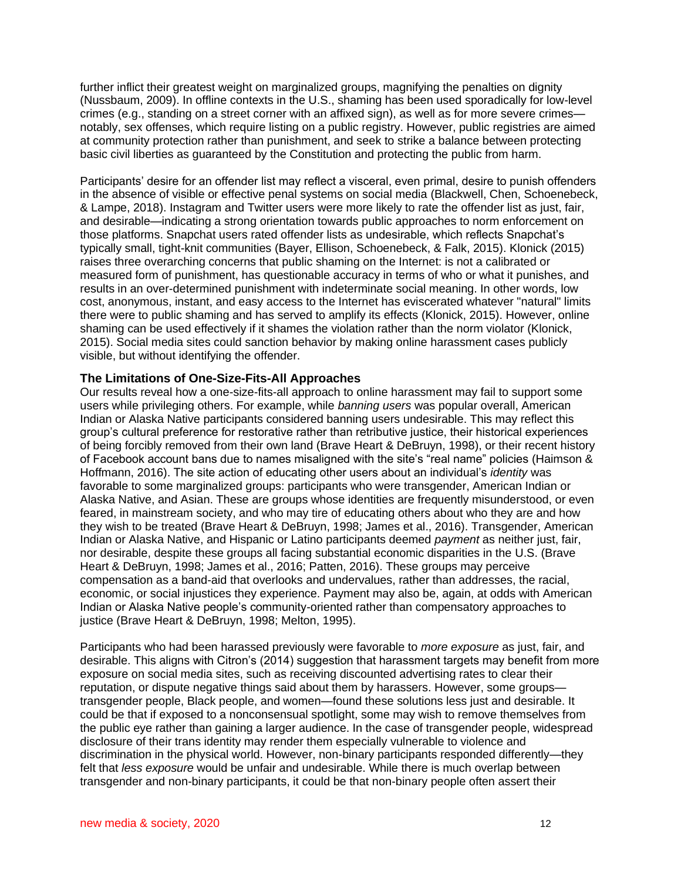further inflict their greatest weight on marginalized groups, magnifying the penalties on dignity [\(Nussbaum, 2009\).](https://www.zotero.org/google-docs/?9fgTkb) In offline contexts in the U.S., shaming has been used sporadically for low-level crimes (e.g., standing on a street corner with an affixed sign), as well as for more severe crimes notably, sex offenses, which require listing on a public registry. However, public registries are aimed at community protection rather than punishment, and seek to strike a balance between protecting basic civil liberties as guaranteed by the Constitution and protecting the public from harm.

Participants' desire for an offender list may reflect a visceral, even primal, desire to punish offenders in the absence of visible or effective penal systems on social media [\(Blackwell, Chen, Schoenebeck,](https://www.zotero.org/google-docs/?jDF75Y)  [& Lampe, 2018\).](https://www.zotero.org/google-docs/?jDF75Y) Instagram and Twitter users were more likely to rate the offender list as just, fair, and desirable—indicating a strong orientation towards public approaches to norm enforcement on those platforms. Snapchat users rated offender lists as undesirable, which reflects Snapchat's typically small, tight-knit communities [\(Bayer, Ellison, Schoenebeck, & Falk, 2015\).](https://www.zotero.org/google-docs/?Y9Rt9P) Klonick (2015) raises three overarching concerns that public shaming on the Internet: is not a calibrated or measured form of punishment, has questionable accuracy in terms of who or what it punishes, and results in an over-determined punishment with indeterminate social meaning. In other words, low cost, anonymous, instant, and easy access to the Internet has eviscerated whatever "natural" limits there were to public shaming and has served to amplify its effects [\(Klonick, 2015\).](https://www.zotero.org/google-docs/?WNPcLl) However, online shaming can be used effectively if it shames the violation rather than the norm violator [\(Klonick,](https://www.zotero.org/google-docs/?a4pZ7n)  [2015\).](https://www.zotero.org/google-docs/?a4pZ7n) Social media sites could sanction behavior by making online harassment cases publicly visible, but without identifying the offender.

## **The Limitations of One-Size-Fits-All Approaches**

Our results reveal how a one-size-fits-all approach to online harassment may fail to support some users while privileging others. For example, while *banning users* was popular overall, American Indian or Alaska Native participants considered banning users undesirable. This may reflect this group's cultural preference for restorative rather than retributive justice, their historical experiences of being forcibly removed from their own land [\(Brave Heart & DeBruyn, 1998\),](https://www.zotero.org/google-docs/?nK5oT3) or their recent history of Facebook account bans due to names misaligned with the site's "real name" policies [\(Haimson &](https://www.zotero.org/google-docs/?uHjb4J)  [Hoffmann, 2016\).](https://www.zotero.org/google-docs/?uHjb4J) The site action of educating other users about an individual's *identity* was favorable to some marginalized groups: participants who were transgender, American Indian or Alaska Native, and Asian. These are groups whose identities are frequently misunderstood, or even feared, in mainstream society, and who may tire of educating others about who they are and how they wish to be treated [\(Brave Heart & DeBruyn, 1998; James et al., 2016\).](https://www.zotero.org/google-docs/?FGzLNL) Transgender, American Indian or Alaska Native, and Hispanic or Latino participants deemed *payment* as neither just, fair, nor desirable, despite these groups all facing substantial economic disparities in the U.S. [\(Brave](https://www.zotero.org/google-docs/?oHJDco)  [Heart & DeBruyn, 1998; James et al., 2016; Patten, 2016\).](https://www.zotero.org/google-docs/?oHJDco) These groups may perceive compensation as a band-aid that overlooks and undervalues, rather than addresses, the racial, economic, or social injustices they experience. Payment may also be, again, at odds with American Indian or Alaska Native people's community-oriented rather than compensatory approaches to justice [\(Brave Heart & DeBruyn, 1998; Melton, 1995\).](https://www.zotero.org/google-docs/?D4AMQ9)

Participants who had been harassed previously were favorable to *more exposure* as just, fair, and desirable. This aligns with Citron's (2014) suggestion that harassment targets may benefit from more exposure on social media sites, such as receiving discounted advertising rates to clear their reputation, or dispute negative things said about them by harassers. However, some groups transgender people, Black people, and women—found these solutions less just and desirable. It could be that if exposed to a nonconsensual spotlight, some may wish to remove themselves from the public eye rather than gaining a larger audience. In the case of transgender people, widespread disclosure of their trans identity may render them especially vulnerable to violence and discrimination in the physical world. However, non-binary participants responded differently—they felt that *less exposure* would be unfair and undesirable. While there is much overlap between transgender and non-binary participants, it could be that non-binary people often assert their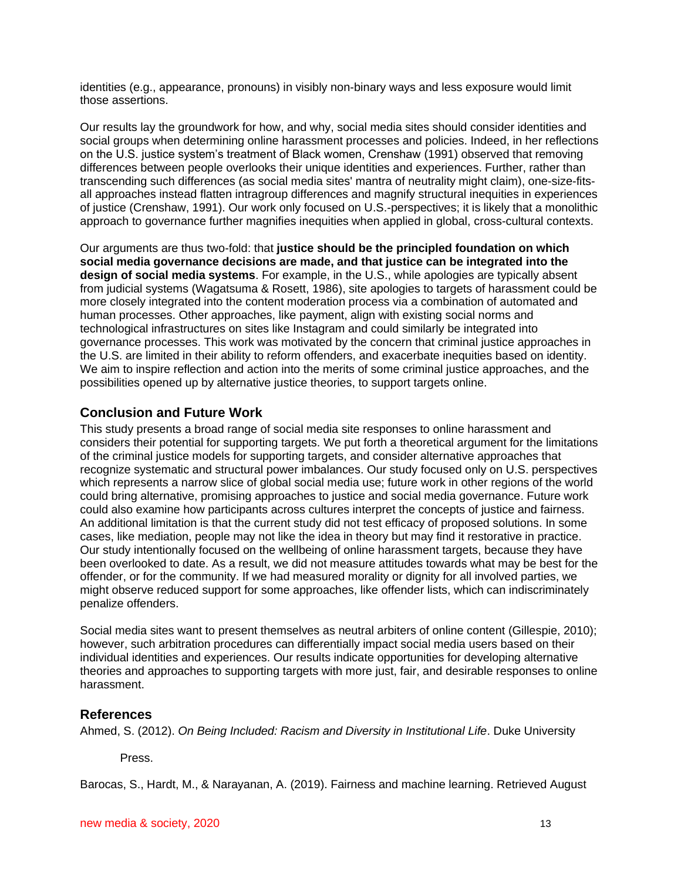identities (e.g., appearance, pronouns) in visibly non-binary ways and less exposure would limit those assertions.

Our results lay the groundwork for how, and why, social media sites should consider identities and social groups when determining online harassment processes and policies. Indeed, in her reflections on the U.S. justice system's treatment of Black women, Crenshaw [\(1991\)](https://www.zotero.org/google-docs/?LVp968) observed that removing differences between people overlooks their unique identities and experiences. Further, rather than transcending such differences (as social media sites' mantra of neutrality might claim), one-size-fitsall approaches instead flatten intragroup differences and magnify structural inequities in experiences of justice (Crenshaw, 1991). Our work only focused on U.S.-perspectives; it is likely that a monolithic approach to governance further magnifies inequities when applied in global, cross-cultural contexts.

Our arguments are thus two-fold: that **justice should be the principled foundation on which social media governance decisions are made, and that justice can be integrated into the design of social media systems**. For example, in the U.S., while apologies are typically absent from judicial systems (Wagatsuma & Rosett, 1986), site apologies to targets of harassment could be more closely integrated into the content moderation process via a combination of automated and human processes. Other approaches, like payment, align with existing social norms and technological infrastructures on sites like Instagram and could similarly be integrated into governance processes. This work was motivated by the concern that criminal justice approaches in the U.S. are limited in their ability to reform offenders, and exacerbate inequities based on identity. We aim to inspire reflection and action into the merits of some criminal justice approaches, and the possibilities opened up by alternative justice theories, to support targets online.

# **Conclusion and Future Work**

This study presents a broad range of social media site responses to online harassment and considers their potential for supporting targets. We put forth a theoretical argument for the limitations of the criminal justice models for supporting targets, and consider alternative approaches that recognize systematic and structural power imbalances. Our study focused only on U.S. perspectives which represents a narrow slice of global social media use; future work in other regions of the world could bring alternative, promising approaches to justice and social media governance. Future work could also examine how participants across cultures interpret the concepts of justice and fairness. An additional limitation is that the current study did not test efficacy of proposed solutions. In some cases, like mediation, people may not like the idea in theory but may find it restorative in practice. Our study intentionally focused on the wellbeing of online harassment targets, because they have been overlooked to date. As a result, we did not measure attitudes towards what may be best for the offender, or for the community. If we had measured morality or dignity for all involved parties, we might observe reduced support for some approaches, like offender lists, which can indiscriminately penalize offenders.

Social media sites want to present themselves as neutral arbiters of online content [\(Gillespie, 2010\);](https://www.zotero.org/google-docs/?hX7Y0j) however, such arbitration procedures can differentially impact social media users based on their individual identities and experiences. Our results indicate opportunities for developing alternative theories and approaches to supporting targets with more just, fair, and desirable responses to online harassment.

# **References**

[Ahmed, S. \(2012\).](https://www.zotero.org/google-docs/?mJewvN) *[On Being Included: Racism and Diversity in Institutional Life](https://www.zotero.org/google-docs/?mJewvN)*[. Duke University](https://www.zotero.org/google-docs/?mJewvN) 

[Press.](https://www.zotero.org/google-docs/?mJewvN)

Barocas, S., Hardt, M., & Narayanan, A. (2019). Fairness and machine learning. Retrieved August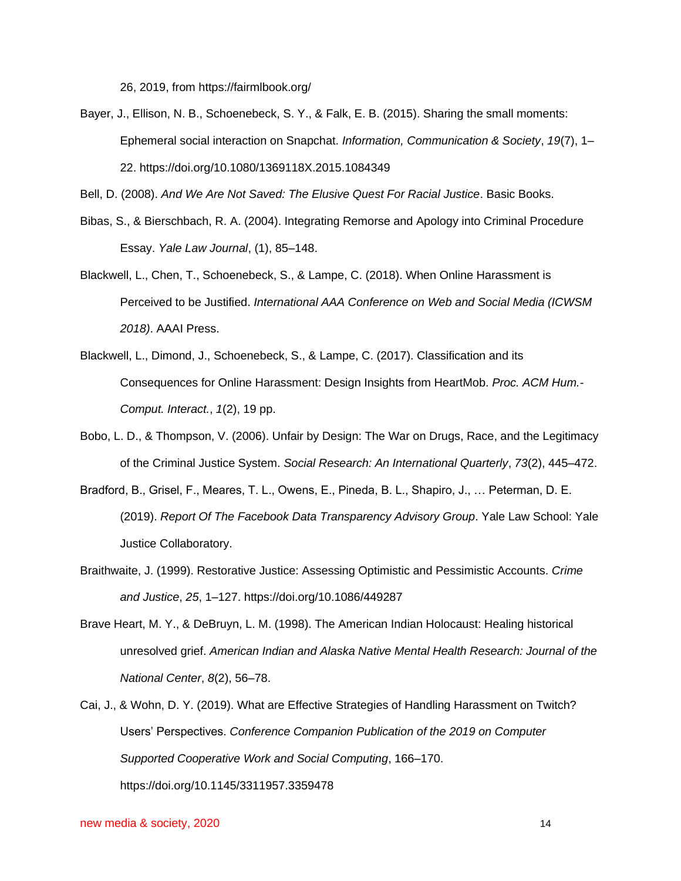26, 2019, from https://fairmlbook.org/

[Bayer, J., Ellison, N. B., Schoenebeck, S. Y., & Falk, E. B. \(2015\). Sharing the small moments:](https://www.zotero.org/google-docs/?mJewvN)  [Ephemeral social interaction on Snapchat.](https://www.zotero.org/google-docs/?mJewvN) *[Information, Communication & Society](https://www.zotero.org/google-docs/?mJewvN)*[,](https://www.zotero.org/google-docs/?mJewvN) *[19](https://www.zotero.org/google-docs/?mJewvN)*[\(7\), 1–](https://www.zotero.org/google-docs/?mJewvN) [22. https://doi.org/10.1080/1369118X.2015.1084349](https://www.zotero.org/google-docs/?mJewvN)

[Bell, D. \(2008\).](https://www.zotero.org/google-docs/?mJewvN) *[And We Are Not Saved: The Elusive Quest For Racial Justice](https://www.zotero.org/google-docs/?mJewvN)*[. Basic Books.](https://www.zotero.org/google-docs/?mJewvN)

- [Bibas, S., & Bierschbach, R. A. \(2004\). Integrating Remorse and Apology into Criminal Procedure](https://www.zotero.org/google-docs/?mJewvN)  [Essay.](https://www.zotero.org/google-docs/?mJewvN) *[Yale Law Journal](https://www.zotero.org/google-docs/?mJewvN)*[, \(1\), 85–148.](https://www.zotero.org/google-docs/?mJewvN)
- [Blackwell, L., Chen, T., Schoenebeck, S., & Lampe, C. \(2018\). When Online Harassment is](https://www.zotero.org/google-docs/?mJewvN)  [Perceived to be Justified.](https://www.zotero.org/google-docs/?mJewvN) *[International AAA Conference on Web and Social Media \(ICWSM](https://www.zotero.org/google-docs/?mJewvN)  [2018\)](https://www.zotero.org/google-docs/?mJewvN)*[. AAAI Press.](https://www.zotero.org/google-docs/?mJewvN)
- [Blackwell, L., Dimond, J., Schoenebeck, S., & Lampe, C. \(2017\). Classification and its](https://www.zotero.org/google-docs/?mJewvN)  [Consequences for Online Harassment: Design Insights from HeartMob.](https://www.zotero.org/google-docs/?mJewvN) *[Proc. ACM Hum.-](https://www.zotero.org/google-docs/?mJewvN) [Comput. Interact.](https://www.zotero.org/google-docs/?mJewvN)*[,](https://www.zotero.org/google-docs/?mJewvN) *[1](https://www.zotero.org/google-docs/?mJewvN)*[\(2\), 19 pp.](https://www.zotero.org/google-docs/?mJewvN)
- [Bobo, L. D., & Thompson, V. \(2006\). Unfair by Design: The War on Drugs, Race, and the Legitimacy](https://www.zotero.org/google-docs/?mJewvN)  [of the Criminal Justice System.](https://www.zotero.org/google-docs/?mJewvN) *[Social Research: An International Quarterly](https://www.zotero.org/google-docs/?mJewvN)*[,](https://www.zotero.org/google-docs/?mJewvN) *[73](https://www.zotero.org/google-docs/?mJewvN)*[\(2\), 445–472.](https://www.zotero.org/google-docs/?mJewvN)
- [Bradford, B., Grisel, F., Meares, T. L., Owens, E., Pineda, B. L., Shapiro, J., … Peterman, D. E.](https://www.zotero.org/google-docs/?mJewvN)  [\(2019\).](https://www.zotero.org/google-docs/?mJewvN) *[Report Of The Facebook Data Transparency Advisory Group](https://www.zotero.org/google-docs/?mJewvN)*[. Yale Law School: Yale](https://www.zotero.org/google-docs/?mJewvN)  [Justice Collaboratory.](https://www.zotero.org/google-docs/?mJewvN)
- [Braithwaite, J. \(1999\). Restorative Justice: Assessing Optimistic and Pessimistic Accounts.](https://www.zotero.org/google-docs/?mJewvN) *[Crime](https://www.zotero.org/google-docs/?mJewvN)  [and Justice](https://www.zotero.org/google-docs/?mJewvN)*[,](https://www.zotero.org/google-docs/?mJewvN) *[25](https://www.zotero.org/google-docs/?mJewvN)*[, 1–127. https://doi.org/10.1086/449287](https://www.zotero.org/google-docs/?mJewvN)
- [Brave Heart, M. Y., & DeBruyn, L. M. \(1998\). The American Indian Holocaust: Healing historical](https://www.zotero.org/google-docs/?mJewvN)  [unresolved grief.](https://www.zotero.org/google-docs/?mJewvN) *[American Indian and Alaska Native Mental Health Research: Journal of the](https://www.zotero.org/google-docs/?mJewvN)  [National Center](https://www.zotero.org/google-docs/?mJewvN)*[,](https://www.zotero.org/google-docs/?mJewvN) *[8](https://www.zotero.org/google-docs/?mJewvN)*[\(2\), 56–78.](https://www.zotero.org/google-docs/?mJewvN)
- Cai, J., & Wohn, D. Y. (2019). What are Effective Strategies of Handling Harassment on Twitch? Users' Perspectives. *Conference Companion Publication of the 2019 on Computer Supported Cooperative Work and Social Computing*, 166–170. https://doi.org/10.1145/3311957.3359478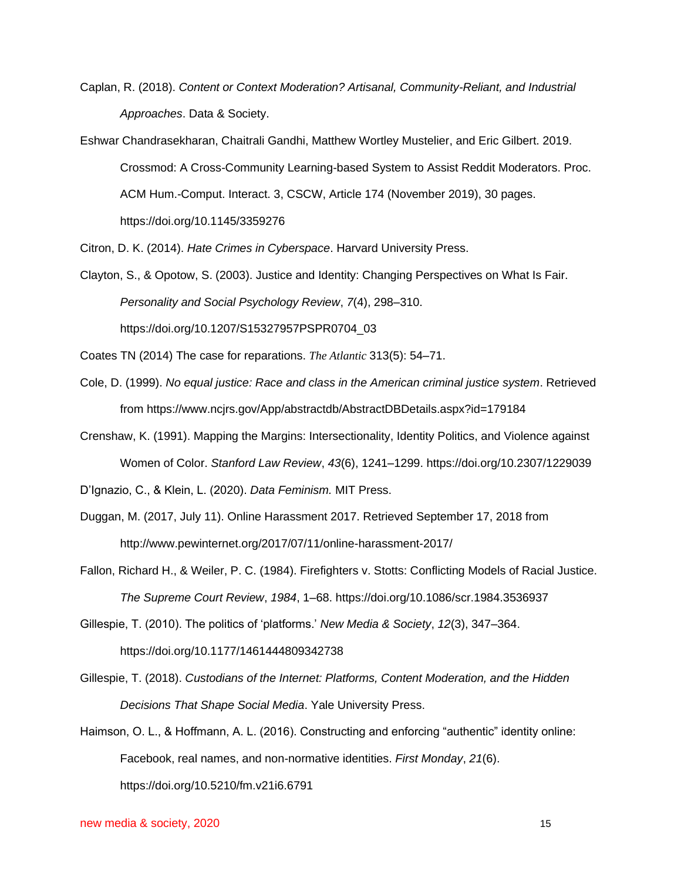- [Caplan, R. \(2018\).](https://www.zotero.org/google-docs/?mJewvN) *[Content or Context Moderation? Artisanal, Community-Reliant, and Industrial](https://www.zotero.org/google-docs/?mJewvN)  [Approaches](https://www.zotero.org/google-docs/?mJewvN)*[. Data & Society.](https://www.zotero.org/google-docs/?mJewvN)
- Eshwar Chandrasekharan, Chaitrali Gandhi, Matthew Wortley Mustelier, and Eric Gilbert. 2019. Crossmod: A Cross-Community Learning-based System to Assist Reddit Moderators. Proc. ACM Hum.-Comput. Interact. 3, CSCW, Article 174 (November 2019), 30 pages. https://doi.org/10.1145/3359276

[Citron, D. K. \(2014\).](https://www.zotero.org/google-docs/?mJewvN) *[Hate Crimes in Cyberspace](https://www.zotero.org/google-docs/?mJewvN)*[. Harvard University Press.](https://www.zotero.org/google-docs/?mJewvN)

- [Clayton, S., & Opotow, S. \(2003\). Justice and Identity: Changing Perspectives on What Is Fair.](https://www.zotero.org/google-docs/?mJewvN)  *[Personality and Social Psychology Review](https://www.zotero.org/google-docs/?mJewvN)*[,](https://www.zotero.org/google-docs/?mJewvN) *[7](https://www.zotero.org/google-docs/?mJewvN)*[\(4\), 298–310.](https://www.zotero.org/google-docs/?mJewvN)  [https://doi.org/10.1207/S15327957PSPR0704\\_03](https://www.zotero.org/google-docs/?mJewvN)
- Coates TN (2014) The case for reparations. *The Atlantic* 313(5): 54–71.
- [Cole, D. \(1999\).](https://www.zotero.org/google-docs/?mJewvN) *[No equal justice: Race and class in the American criminal justice system](https://www.zotero.org/google-docs/?mJewvN)*[. Retrieved](https://www.zotero.org/google-docs/?mJewvN)  [from https://www.ncjrs.gov/App/abstractdb/AbstractDBDetails.aspx?id=179184](https://www.zotero.org/google-docs/?mJewvN)
- [Crenshaw, K. \(1991\). Mapping the Margins: Intersectionality, Identity Politics, and Violence against](https://www.zotero.org/google-docs/?mJewvN)  [Women of Color.](https://www.zotero.org/google-docs/?mJewvN) *[Stanford Law Review](https://www.zotero.org/google-docs/?mJewvN)*[,](https://www.zotero.org/google-docs/?mJewvN) *[43](https://www.zotero.org/google-docs/?mJewvN)*[\(6\), 1241–1299. https://doi.org/10.2307/1229039](https://www.zotero.org/google-docs/?mJewvN)
- [D'Ignazio, C., & Klein, L. \(2020\).](https://www.zotero.org/google-docs/?mJewvN) *[Data Feminism.](https://www.zotero.org/google-docs/?mJewvN)* MIT Press.
- Duggan, M. (2017, July 11). Online Harassment 2017. Retrieved September 17, 2018 from http://www.pewinternet.org/2017/07/11/online-harassment-2017/
- [Fallon, Richard H., & Weiler, P. C. \(1984\). Firefighters v. Stotts: Conflicting Models of Racial Justice.](https://www.zotero.org/google-docs/?mJewvN)  *[The Supreme Court Review](https://www.zotero.org/google-docs/?mJewvN)*[,](https://www.zotero.org/google-docs/?mJewvN) *[1984](https://www.zotero.org/google-docs/?mJewvN)*[, 1–68. https://doi.org/10.1086/scr.1984.3536937](https://www.zotero.org/google-docs/?mJewvN)
- [Gillespie, T. \(2010\). The politics of 'platforms.'](https://www.zotero.org/google-docs/?mJewvN) *[New Media & Society](https://www.zotero.org/google-docs/?mJewvN)*[,](https://www.zotero.org/google-docs/?mJewvN) *[12](https://www.zotero.org/google-docs/?mJewvN)*[\(3\), 347–364.](https://www.zotero.org/google-docs/?mJewvN)  [https://doi.org/10.1177/1461444809342738](https://www.zotero.org/google-docs/?mJewvN)
- [Gillespie, T. \(2018\).](https://www.zotero.org/google-docs/?mJewvN) *[Custodians of the Internet: Platforms, Content Moderation, and the Hidden](https://www.zotero.org/google-docs/?mJewvN)  [Decisions That Shape Social Media](https://www.zotero.org/google-docs/?mJewvN)*[. Yale University Press.](https://www.zotero.org/google-docs/?mJewvN)
- [Haimson, O. L., & Hoffmann, A. L. \(2016\). Constructing and enforcing "authentic" identity online:](https://www.zotero.org/google-docs/?mJewvN)  [Facebook, real names, and non-normative identities.](https://www.zotero.org/google-docs/?mJewvN) *[First Monday](https://www.zotero.org/google-docs/?mJewvN)*[,](https://www.zotero.org/google-docs/?mJewvN) *[21](https://www.zotero.org/google-docs/?mJewvN)*[\(6\).](https://www.zotero.org/google-docs/?mJewvN)  [https://doi.org/10.5210/fm.v21i6.6791](https://www.zotero.org/google-docs/?mJewvN)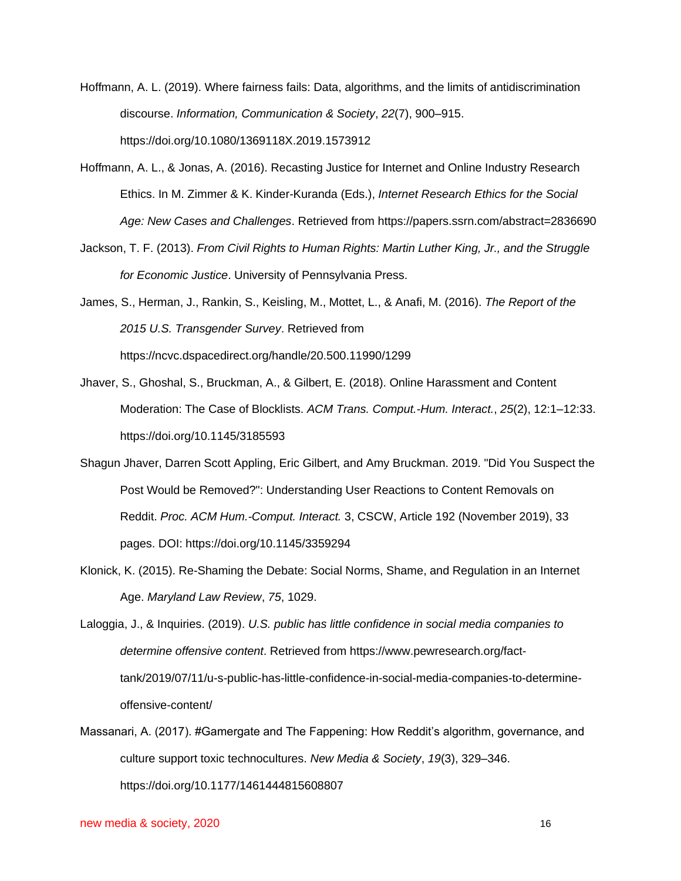[Hoffmann, A. L. \(2019\). Where fairness fails: Data, algorithms, and the limits of antidiscrimination](https://www.zotero.org/google-docs/?mJewvN)  [discourse.](https://www.zotero.org/google-docs/?mJewvN) *[Information, Communication & Society](https://www.zotero.org/google-docs/?mJewvN)*[,](https://www.zotero.org/google-docs/?mJewvN) *[22](https://www.zotero.org/google-docs/?mJewvN)*[\(7\), 900–915.](https://www.zotero.org/google-docs/?mJewvN)  [https://doi.org/10.1080/1369118X.2019.1573912](https://www.zotero.org/google-docs/?mJewvN)

- [Hoffmann, A. L., & Jonas, A. \(2016\). Recasting Justice for Internet and Online Industry Research](https://www.zotero.org/google-docs/?mJewvN)  [Ethics. In M. Zimmer & K. Kinder-Kuranda \(Eds.\),](https://www.zotero.org/google-docs/?mJewvN) *[Internet Research Ethics for the Social](https://www.zotero.org/google-docs/?mJewvN)  [Age: New Cases and Challenges](https://www.zotero.org/google-docs/?mJewvN)*[. Retrieved from https://papers.ssrn.com/abstract=2836690](https://www.zotero.org/google-docs/?mJewvN)
- [Jackson, T. F. \(2013\).](https://www.zotero.org/google-docs/?mJewvN) *[From Civil Rights to Human Rights: Martin Luther King, Jr., and the Struggle](https://www.zotero.org/google-docs/?mJewvN)  [for Economic Justice](https://www.zotero.org/google-docs/?mJewvN)*[. University of Pennsylvania Press.](https://www.zotero.org/google-docs/?mJewvN)
- [James, S., Herman, J., Rankin, S., Keisling, M., Mottet, L., & Anafi, M. \(2016\).](https://www.zotero.org/google-docs/?mJewvN) *[The Report of the](https://www.zotero.org/google-docs/?mJewvN)  [2015 U.S. Transgender Survey](https://www.zotero.org/google-docs/?mJewvN)*[. Retrieved from](https://www.zotero.org/google-docs/?mJewvN)  [https://ncvc.dspacedirect.org/handle/20.500.11990/1299](https://www.zotero.org/google-docs/?mJewvN)
- [Jhaver, S., Ghoshal, S., Bruckman, A., & Gilbert, E. \(2018\). Online Harassment and Content](https://www.zotero.org/google-docs/?mJewvN)  [Moderation: The Case of Blocklists.](https://www.zotero.org/google-docs/?mJewvN) *[ACM Trans. Comput.-Hum. Interact.](https://www.zotero.org/google-docs/?mJewvN)*[,](https://www.zotero.org/google-docs/?mJewvN) *[25](https://www.zotero.org/google-docs/?mJewvN)*[\(2\), 12:1–12:33.](https://www.zotero.org/google-docs/?mJewvN)  [https://doi.org/10.1145/3185593](https://www.zotero.org/google-docs/?mJewvN)
- Shagun Jhaver, Darren Scott Appling, Eric Gilbert, and Amy Bruckman. 2019. "Did You Suspect the Post Would be Removed?": Understanding User Reactions to Content Removals on Reddit. *Proc. ACM Hum.-Comput. Interact.* 3, CSCW, Article 192 (November 2019), 33 pages. DOI: https://doi.org/10.1145/3359294
- [Klonick, K. \(2015\). Re-Shaming the Debate: Social Norms, Shame, and Regulation in an Internet](https://www.zotero.org/google-docs/?mJewvN)  [Age.](https://www.zotero.org/google-docs/?mJewvN) *[Maryland Law Review](https://www.zotero.org/google-docs/?mJewvN)*[,](https://www.zotero.org/google-docs/?mJewvN) *[75](https://www.zotero.org/google-docs/?mJewvN)*[, 1029.](https://www.zotero.org/google-docs/?mJewvN)

[Laloggia, J., & Inquiries. \(2019\).](https://www.zotero.org/google-docs/?mJewvN) *[U.S. public has little confidence in social media companies to](https://www.zotero.org/google-docs/?mJewvN)  [determine offensive content](https://www.zotero.org/google-docs/?mJewvN)*[. Retrieved from https://www.pewresearch.org/fact](https://www.zotero.org/google-docs/?mJewvN)[tank/2019/07/11/u-s-public-has-little-confidence-in-social-media-companies-to-determine](https://www.zotero.org/google-docs/?mJewvN)[offensive-content/](https://www.zotero.org/google-docs/?mJewvN)

[Massanari, A. \(2017\). #Gamergate and The Fappening: How Reddit's algorithm, governance, and](https://www.zotero.org/google-docs/?mJewvN)  [culture support toxic technocultures.](https://www.zotero.org/google-docs/?mJewvN) *[New Media & Society](https://www.zotero.org/google-docs/?mJewvN)*[,](https://www.zotero.org/google-docs/?mJewvN) *[19](https://www.zotero.org/google-docs/?mJewvN)*[\(3\), 329–346.](https://www.zotero.org/google-docs/?mJewvN)  [https://doi.org/10.1177/1461444815608807](https://www.zotero.org/google-docs/?mJewvN)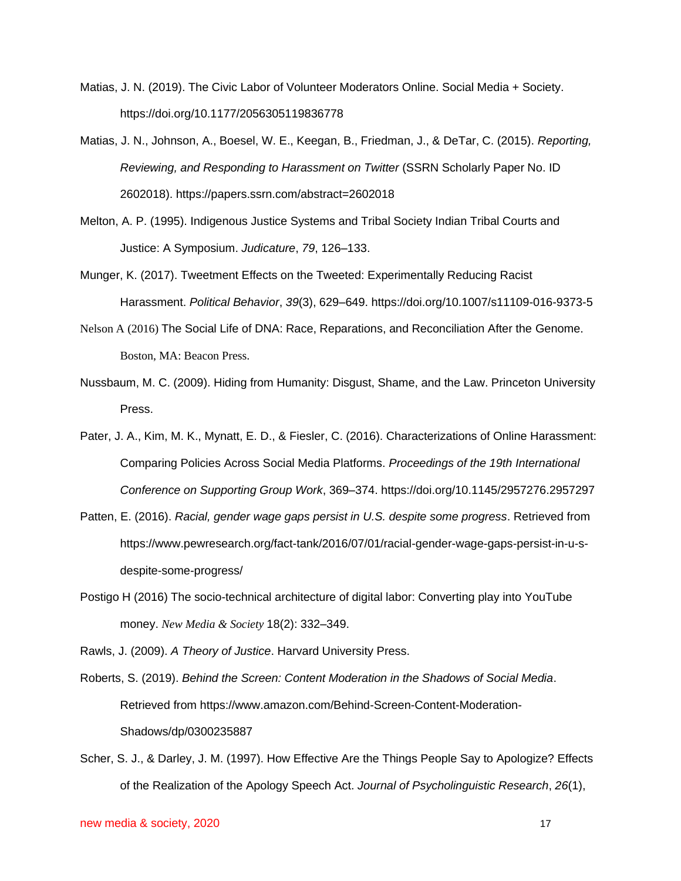- Matias, J. N. (2019). The Civic Labor of Volunteer Moderators Online. Social Media + Society. https://doi.org/10.1177/2056305119836778
- [Matias, J. N., Johnson, A., Boesel, W. E., Keegan, B., Friedman, J., & DeTar, C. \(2015\).](https://www.zotero.org/google-docs/?mJewvN) *[Reporting,](https://www.zotero.org/google-docs/?mJewvN)  [Reviewing, and Responding to Harassment on Twitter](https://www.zotero.org/google-docs/?mJewvN)* [\(SSRN Scholarly Paper No. ID](https://www.zotero.org/google-docs/?mJewvN)  [2602018\). https://papers.ssrn.com/abstract=2602018](https://www.zotero.org/google-docs/?mJewvN)
- [Melton, A. P. \(1995\). Indigenous Justice Systems and Tribal Society Indian Tribal Courts and](https://www.zotero.org/google-docs/?mJewvN)  [Justice: A Symposium.](https://www.zotero.org/google-docs/?mJewvN) *[Judicature](https://www.zotero.org/google-docs/?mJewvN)*[,](https://www.zotero.org/google-docs/?mJewvN) *[79](https://www.zotero.org/google-docs/?mJewvN)*[, 126–133.](https://www.zotero.org/google-docs/?mJewvN)
- [Munger, K. \(2017\). Tweetment Effects on the Tweeted: Experimentally Reducing Racist](https://www.zotero.org/google-docs/?mJewvN)  [Harassment.](https://www.zotero.org/google-docs/?mJewvN) *[Political Behavior](https://www.zotero.org/google-docs/?mJewvN)*[,](https://www.zotero.org/google-docs/?mJewvN) *[39](https://www.zotero.org/google-docs/?mJewvN)*[\(3\), 629–649. https://doi.org/10.1007/s11109-016-9373-5](https://www.zotero.org/google-docs/?mJewvN)
- Nelson A (2016) The Social Life of DNA: Race, Reparations, and Reconciliation After the Genome. Boston, MA: Beacon Press.
- Nussbaum, M. C. (2009). Hiding from Humanity: Disgust, Shame, and the Law. Princeton University Press.
- [Pater, J. A., Kim, M. K., Mynatt, E. D., & Fiesler, C. \(2016\). Characterizations of Online Harassment:](https://www.zotero.org/google-docs/?mJewvN)  [Comparing Policies Across Social Media Platforms.](https://www.zotero.org/google-docs/?mJewvN) *[Proceedings of the 19th International](https://www.zotero.org/google-docs/?mJewvN)  [Conference on Supporting Group Work](https://www.zotero.org/google-docs/?mJewvN)*[, 369–374. https://doi.org/10.1145/2957276.2957297](https://www.zotero.org/google-docs/?mJewvN)
- [Patten, E. \(2016\).](https://www.zotero.org/google-docs/?mJewvN) *[Racial, gender wage gaps persist in U.S. despite some progress](https://www.zotero.org/google-docs/?mJewvN)*. Retrieved from https://www.pewresearch.org/fact-tank/2016/07/01/racial-gender-wage-gaps-persist-in-u-sdespite-some-progress/
- Postigo H (2016) The socio-technical architecture of digital labor: Converting play into YouTube money. *New Media & Society* 18(2): 332–349.

[Rawls, J. \(2009\).](https://www.zotero.org/google-docs/?mJewvN) *[A Theory of Justice](https://www.zotero.org/google-docs/?mJewvN)*[. Harvard University Press.](https://www.zotero.org/google-docs/?mJewvN)

[Roberts, S. \(2019\).](https://www.zotero.org/google-docs/?mJewvN) *Behind [the Screen: Content Moderation in the Shadows of Social Media](https://www.zotero.org/google-docs/?mJewvN)*[.](https://www.zotero.org/google-docs/?mJewvN)  [Retrieved from https://www.amazon.com/Behind-Screen-Content-Moderation-](https://www.zotero.org/google-docs/?mJewvN)[Shadows/dp/0300235887](https://www.zotero.org/google-docs/?mJewvN)

[Scher, S. J., & Darley, J. M. \(1997\). How Effective Are the Things People Say to Apologize? Effects](https://www.zotero.org/google-docs/?mJewvN)  [of the Realization of the Apology Speech Act.](https://www.zotero.org/google-docs/?mJewvN) *[Journal of Psycholinguistic Research](https://www.zotero.org/google-docs/?mJewvN)*[,](https://www.zotero.org/google-docs/?mJewvN) *[26](https://www.zotero.org/google-docs/?mJewvN)*[\(1\),](https://www.zotero.org/google-docs/?mJewvN)